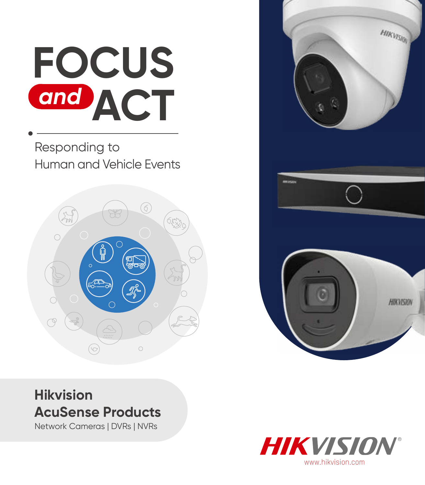# **FOCUS ACT** *and*

Responding to Human and Vehicle Events





## **Hikvision AcuSense Products**

Network Cameras | DVRs | NVRs

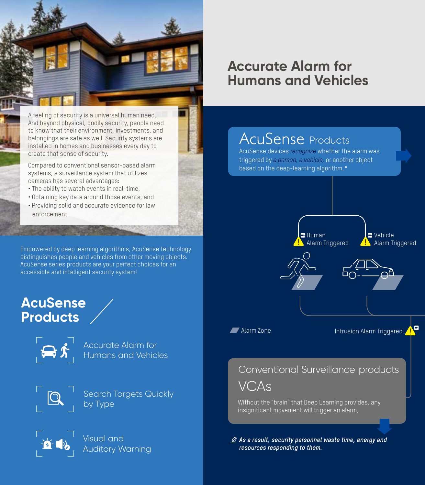

A feeling of security is a universal human need. And beyond physical, bodily security, people need to know that their environment, investments, and belongings are safe as well. Security systems are installed in homes and businesses every day to create that sense of security.

Compared to conventional sensor-based alarm systems, a surveillance system that utilizes cameras has several advantages:

- The ability to watch events in real-time,
- Obtaining key data around those events, and
- Providing solid and accurate evidence for law enforcement.

Empowered by deep learning algorithms, AcuSense technology distinguishes people and vehicles from other moving objects. AcuSense series products are your perfect choices for an accessible and intelligent security system!

## **AcuSense Products**



Accurate Alarm for Humans and Vehicles



Search Targets Quickly by Type



Visual and Auditory Warning

## **Accurate Alarm for Humans and Vehicles**

# **AcuSense Products**

AcuSense devices *recognize* whether the alarm was triggered by *a person, a vehicle,* or another object based on the deep-learning algorithm.**\***



*As a result, security personnel waste time, energy and resources responding to them.*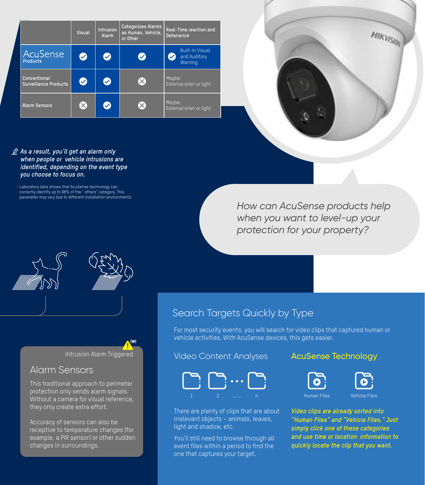|                                              | <b>Visual</b>         | Intrusion<br>Alarm   | Categorizes Alarms<br>as Human, Vehicle,<br>or Other | Real-Time reaction and<br><b>Deterrence</b>       |  |
|----------------------------------------------|-----------------------|----------------------|------------------------------------------------------|---------------------------------------------------|--|
| AcuSense<br><b>Products</b>                  | $\bullet$             | Ø                    | ✓                                                    | <b>Built-in Visual</b><br>and Auditory<br>Warning |  |
| Conventional<br><b>Surveillance Products</b> | Ø                     | $\bullet$            |                                                      | Maybe;<br>External siren or light                 |  |
| <b>Alarm Sensors</b>                         | $\left[\times\right]$ | $\blacktriangledown$ |                                                      | Maybe;<br>External siren or light                 |  |

HIKVISION

- *As a result, you'll get an alarm only when people or vehicle intrusions are identified, depending on the event type you choose to focus on.*
	- Laboratory data shows that AcuSense technology can correctly identify up to 98% of the " others" category. This **\*** parameter may vary due to different installation environments.

*How can AcuSense products help when you want to level-up your protection for your property?*

Intrusion Alarm Triggered

## Alarm Sensors

This traditional approach to perimeter protection only sends alarm signals. Without a camera for visual reference, they only create extra effort.

Accuracy of sensors can also be receptive to temperature changes (for example, a PIR sensor) or other sudden changes in surroundings.

## Search Targets Quickly by Type

For most security events, you will search for video clips that captured human or vehicle activities. With AcuSense devices, this gets easier.

#### Video Content Analyses

### AcuSense Technology



There are plenty of clips that are about irrelevant objects – animals, leaves, light and shadow, etc.

You'll still need to browse through all event files within a period to find the one that captures your target.





*Video clips are already sorted into "Human Files" and "Vehicle Files." Just simply click one of these categories and use time or location information to quickly locate the clip that you want.*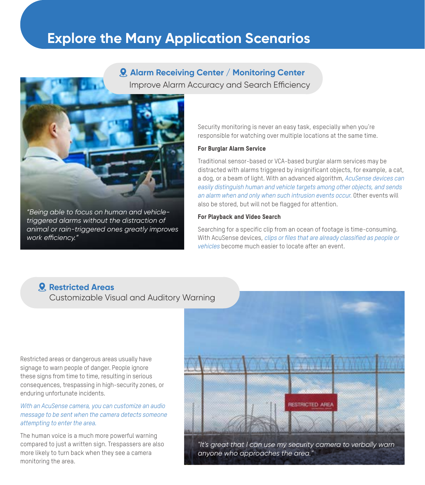## **Explore the Many Application Scenarios**

Improve Alarm Accuracy and Search Efficiency **Alarm Receiving Center / Monitoring Center**



*"Being able to focus on human and vehicletriggered alarms without the distraction of animal or rain-triggered ones greatly improves work efficiency."*

Security monitoring is never an easy task, especially when you're responsible for watching over multiple locations at the same time.

#### For Burglar Alarm Service

Traditional sensor-based or VCA-based burglar alarm services may be distracted with alarms triggered by insignificant objects, for example, a cat, a dog, or a beam of light. With an advanced algorithm, *AcuSense devices can easily distinguish human and vehicle targets among other objects, and sends an alarm when and only when such intrusion events occur.* Other events will also be stored, but will not be flagged for attention.

#### For Playback and Video Search

Searching for a specific clip from an ocean of footage is time-consuming. With AcuSense devices, *clips or files that are already classified as people or vehicles* become much easier to locate after an event.

#### **Restricted Areas**

Customizable Visual and Auditory Warning

Restricted areas or dangerous areas usually have signage to warn people of danger. People ignore these signs from time to time, resulting in serious consequences, trespassing in high-security zones, or enduring unfortunate incidents.

*With an AcuSense camera, you can customize an audio message to be sent when the camera detects someone attempting to enter the area.* 

The human voice is a much more powerful warning compared to just a written sign. Trespassers are also more likely to turn back when they see a camera monitoring the area.



*"It's great that I can use my security camera to verbally warn anyone who approaches the area."*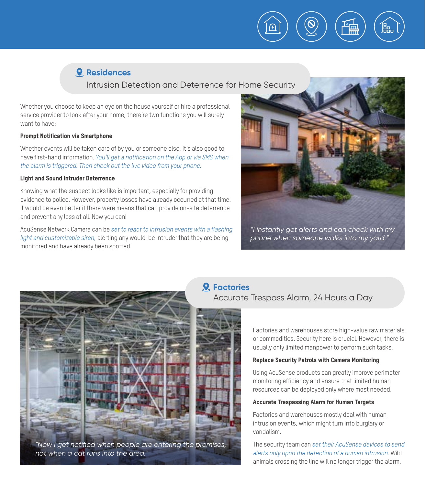

Intrusion Detection and Deterrence for Home Security

Whether you choose to keep an eye on the house yourself or hire a professional service provider to look after your home, there're two functions you will surely want to have:

#### Prompt Notification via Smartphone

Whether events will be taken care of by you or someone else, it's also good to have first-hand information. *You'll get a notification on the App or via SMS when the alarm is triggered. Then check out the live video from your phone.*

#### Light and Sound Intruder Deterrence

Knowing what the suspect looks like is important, especially for providing evidence to police. However, property losses have already occurred at that time. It would be even better if there were means that can provide on-site deterrence and prevent any loss at all. Now you can!

AcuSense Network Camera can be *set to react to intrusion events with a flashing light and customizable siren,* alerting any would-be intruder that they are being monitored and have already been spotted.



Ħд

*phone when someone walks into my yard."*



*"Now I get notified when people are entering the premises, not when a cat runs into the area."*

## **Factories**

#### Accurate Trespass Alarm, 24 Hours a Day



Factories and warehouses store high-value raw materials or commodities. Security here is crucial. However, there is usually only limited manpower to perform such tasks.

#### Replace Security Patrols with Camera Monitoring

Using AcuSense products can greatly improve perimeter monitoring efficiency and ensure that limited human resources can be deployed only where most needed.

#### Accurate Trespassing Alarm for Human Targets

Factories and warehouses mostly deal with human intrusion events, which might turn into burglary or vandalism.

The security team can *set their AcuSense devices to send alerts only upon the detection of a human intrusion.* Wild animals crossing the line will no longer trigger the alarm.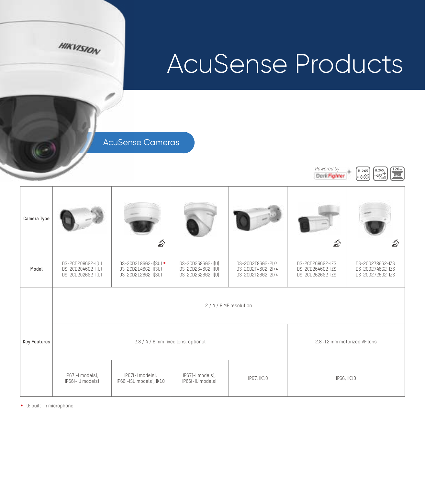

 $P$ owered by<br>  $D$ <sub>and</sub> **F**<sub>ig</sub> h<sub>i</sub>ter  $\left[\begin{array}{c} H.265 \\ H.265 \end{array}\right]$   $\left[\begin{array}{c} H.265 \\ H.265 \end{array}\right]$   $\left[\begin{array}{c} 120_{48} \\ \text{WDR} \end{array}\right]$ 

Dark Fighter

AcuSense Cameras

**HIKVISION** 

| Camera Type  |                                                             | $\mathbb{Z}$                                                                                      |                                                             |                                                                | $\mathbb{Z}$                                             | $\hat{\mathbf{a}}$                                       |  |  |
|--------------|-------------------------------------------------------------|---------------------------------------------------------------------------------------------------|-------------------------------------------------------------|----------------------------------------------------------------|----------------------------------------------------------|----------------------------------------------------------|--|--|
| Model        | DS-2CD2086G2-I(U)<br>DS-2CD2046G2-I(U)<br>DS-2CD2026G2-I(U) | DS-2CD2186G2-I(SU) *<br>DS-2CD2146G2-I(SU)<br>DS-2CD2126G2-I(SU)                                  | DS-2CD2386G2-I(U)<br>DS-2CD2346G2-I(U)<br>DS-2CD2326G2-I(U) | DS-2CD2T86G2-2I/4I<br>DS-2CD2T46G2-2I/4I<br>DS-2CD2T26G2-2I/4I | DS-2CD2686G2-IZS<br>DS-2CD2646G2-IZS<br>DS-2CD2626G2-IZS | DS-2CD2786G2-IZS<br>DS-2CD2746G2-IZS<br>DS-2CD2726G2-IZS |  |  |
|              | 2/4/8 MP resolution                                         |                                                                                                   |                                                             |                                                                |                                                          |                                                          |  |  |
| Key Features |                                                             | 2.8 / 4 / 6 mm fixed lens, optional                                                               | 2.8~12 mm motorized VF lens                                 |                                                                |                                                          |                                                          |  |  |
|              | IP67(-I models),<br>IP66(-IU models)                        | IP67(-I models),<br>IP67(-I models),<br>IP67, IK10<br>IP66(-ISU models), IK10<br>IP66(-IU models) |                                                             |                                                                | IP66, IK10                                               |                                                          |  |  |

**\***-U: built-in microphone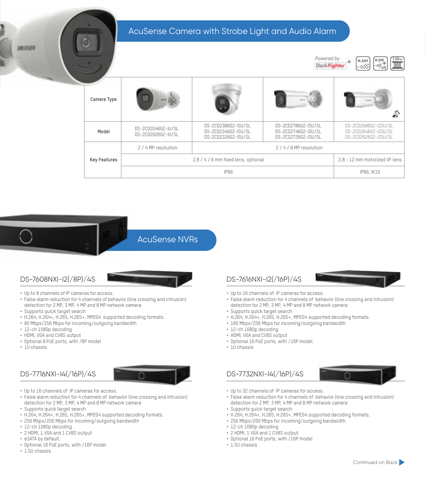AcuSense Camera with Strobe Light and Audio Alarm





AcuSense NVRs

- Up to 8 channels of IP cameras for access.
- False alarm reduction for 4 channels of behavior (line crossing and intrusion) detection for 2 MP, 3 MP, 4 MP and 8 MP network camera
- Supports quick target search
- H.264, H.264+, H.265, H.265+, MPEG4 supported decoding formats.
- 80 Mbps/256 Mbps for incoming/outgoing bandwidth
- 12-ch 1080p decoding
- HDMI, VGA and CVBS output
- Optional 8 PoE ports, with /8P model
- 1U chassis

ABIC VESION

#### DS-7716NXI-I4(/16P)/4S



- Up to 16 channels of IP cameras for access.
- False alarm reduction for 4 channels of behavior (line crossing and intrusion) detection for 2 MP, 3 MP, 4 MP and 8 MP network camera
- Supports quick target search
- H.264, H.264+, H.265, H.265+, MPEG4 supported decoding formats.
- 256 Mbps/200 Mbps for incoming/outgoing bandwidth
- 12-ch 1080p decoding
- 2 HDMI, 1 VGA and 1 CVBS output
- eSATA by default.
- Optional 16 PoE ports, with /16P model
- 1.5U chassis

#### DS-7608NXI-I2(/8P)/4S DS-7616NXI-I2(/16P)/4S



- Up to 16 channels of IP cameras for access.
- False alarm reduction for 4 channels of behavior (line crossing and intrusion) detection for 2 MP, 3 MP, 4 MP and 8 MP network camera
- Supports quick target search
- H.264, H.264+, H.265, H.265+, MPEG4 supported decoding formats.
- 160 Mbps/256 Mbps for incoming/outgoing bandwidth
- 12-ch 1080p decoding
- HDMI, VGA and CVBS output
- Optional 16 PoE ports, with /16P model
- 1U chassis

#### DS-7732NXI-I4(/16P)/4S



- Up to 32 channels of IP cameras for access.
- False alarm reduction for 4 channels of behavior (line crossing and intrusion) detection for 2 MP, 3 MP, 4 MP and 8 MP network camera
- Supports quick target search
- H.264, H.264+, H.265, H.265+, MPEG4 supported decoding formats.
- 256 Mbps/200 Mbps for incoming/outgoing bandwidth
- 12-ch 1080p decoding
- 2 HDMI, 1 VGA and 1 CVBS output
- Optional 16 PoE ports, with /16P model
- 1.5U chassis